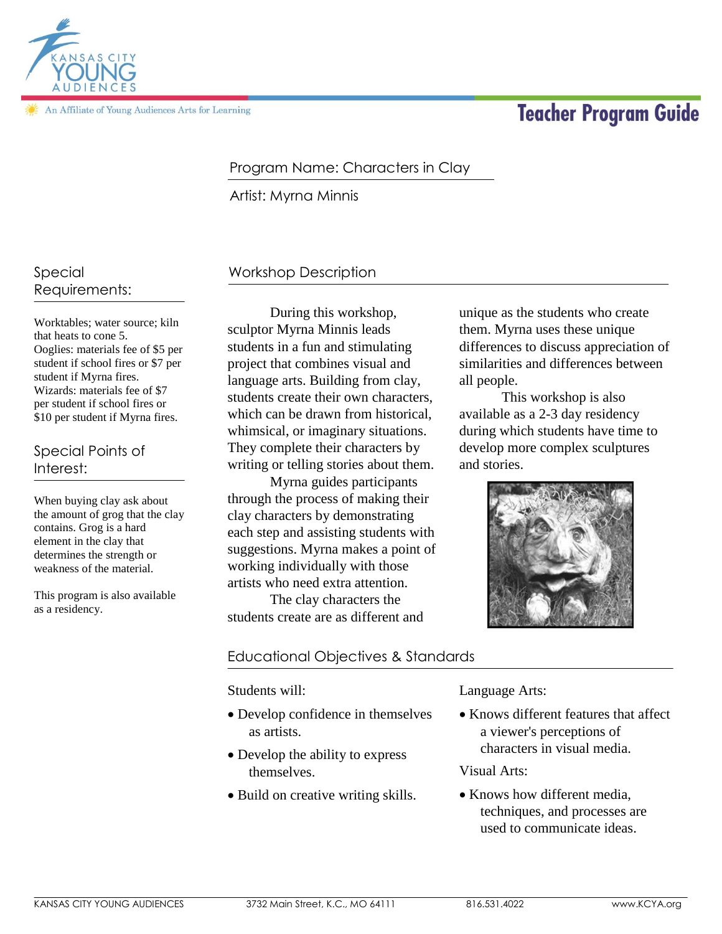

An Affiliate of Young Audiences Arts for Learning

# **Teacher Program Guide**

### Program Name: Characters in Clay

Artist: Myrna Minnis

# Special Requirements:

Worktables; water source; kiln that heats to cone 5. Ooglies: materials fee of \$5 per student if school fires or \$7 per student if Myrna fires. Wizards: materials fee of \$7 per student if school fires or \$10 per student if Myrna fires.

#### Special Points of Interest:

When buying clay ask about the amount of grog that the clay contains. Grog is a hard element in the clay that determines the strength or weakness of the material.

This program is also available as a residency.

# Workshop Description

During this workshop, sculptor Myrna Minnis leads students in a fun and stimulating project that combines visual and language arts. Building from clay, students create their own characters, which can be drawn from historical, whimsical, or imaginary situations. They complete their characters by writing or telling stories about them.

Myrna guides participants through the process of making their clay characters by demonstrating each step and assisting students with suggestions. Myrna makes a point of working individually with those artists who need extra attention. The clay characters the

students create are as different and

# Educational Objectives & Standards

Students will:

- Develop confidence in themselves as artists.
- Develop the ability to express themselves.
- Build on creative writing skills.

Language Arts:

• Knows different features that affect a viewer's perceptions of characters in visual media.

Visual Arts:

• Knows how different media. techniques, and processes are used to communicate ideas.

unique as the students who create them. Myrna uses these unique differences to discuss appreciation of similarities and differences between all people.

This workshop is also available as a 2-3 day residency during which students have time to develop more complex sculptures and stories.